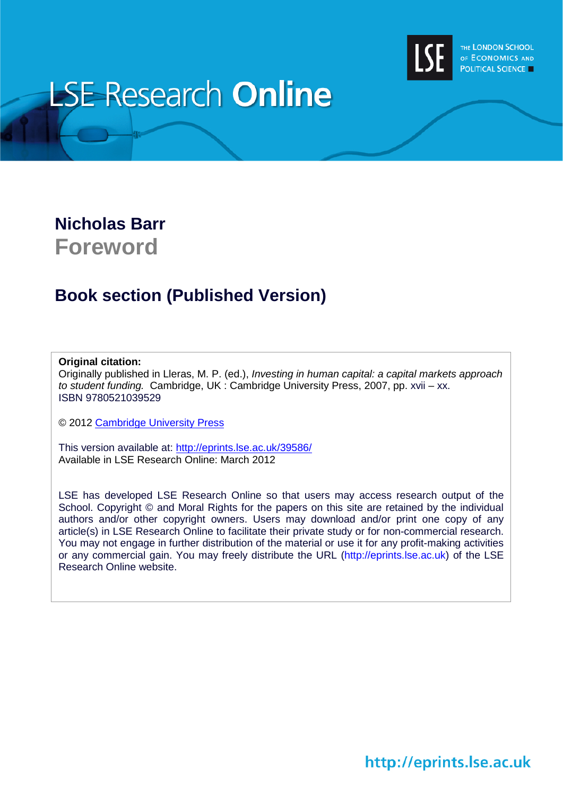

# **LSE Research Online**

## **Nicholas Barr Foreword**

## **Book section (Published Version)**

#### **Original citation:**

Originally published in Lleras, M. P. (ed.), *Investing in human capital: a capital markets approach to student funding.* Cambridge, UK : Cambridge University Press, 2007, pp. xvii – xx. ISBN 9780521039529

© 2012 [Cambridge University Press](http://www.cambridge.org/)

This version available at:<http://eprints.lse.ac.uk/39586/> Available in LSE Research Online: March 2012

LSE has developed LSE Research Online so that users may access research output of the School. Copyright © and Moral Rights for the papers on this site are retained by the individual authors and/or other copyright owners. Users may download and/or print one copy of any article(s) in LSE Research Online to facilitate their private study or for non-commercial research. You may not engage in further distribution of the material or use it for any profit-making activities or any commercial gain. You may freely distribute the URL (http://eprints.lse.ac.uk) of the LSE Research Online website.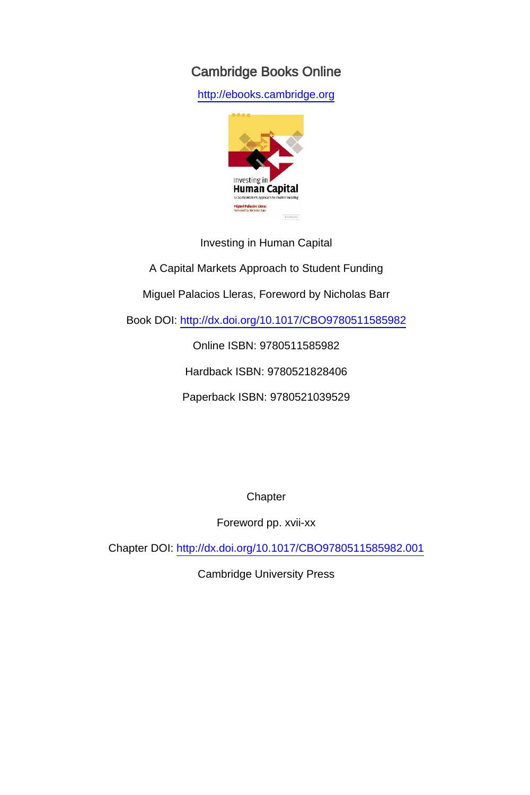#### Cambridge Books Online

http://ebooks.cambridge.org



Investing in Human Capital

A Capital Markets Approach to Student Funding

Miguel Palacios Lleras, Foreword by Nicholas Barr

Book DOI: http://dx.doi.org/10.1017/CBO9780511585982

Online ISBN: 9780511585982

Hardback ISBN: 9780521828406

Paperback ISBN: 9780521039529

**Chapter** 

Foreword pp. xvii-xx

Chapter DOI: http://dx.doi.org/10.1017/CBO9780511585982.001

Cambridge University Press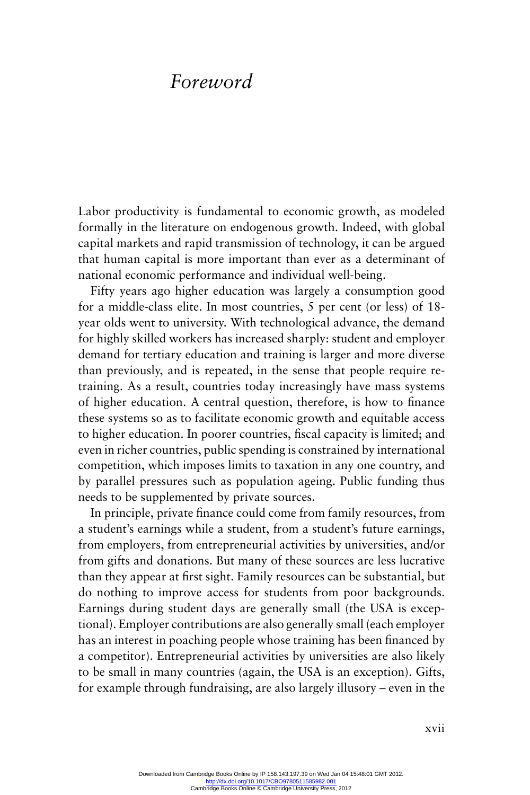### *Foreword*

Labor productivity is fundamental to economic growth, as modeled formally in the literature on endogenous growth. Indeed, with global capital markets and rapid transmission of technology, it can be argued that human capital is more important than ever as a determinant of national economic performance and individual well-being.

Fifty years ago higher education was largely a consumption good for a middle-class elite. In most countries, 5 per cent (or less) of 18 year olds went to university. With technological advance, the demand for highly skilled workers has increased sharply: student and employer demand for tertiary education and training is larger and more diverse than previously, and is repeated, in the sense that people require retraining. As a result, countries today increasingly have mass systems of higher education. A central question, therefore, is how to finance these systems so as to facilitate economic growth and equitable access to higher education. In poorer countries, fiscal capacity is limited; and even in richer countries, public spending is constrained by international competition, which imposes limits to taxation in any one country, and by parallel pressures such as population ageing. Public funding thus needs to be supplemented by private sources.

In principle, private finance could come from family resources, from a student's earnings while a student, from a student's future earnings, from employers, from entrepreneurial activities by universities, and/or from gifts and donations. But many of these sources are less lucrative than they appear at first sight. Family resources can be substantial, but do nothing to improve access for students from poor backgrounds. Earnings during student days are generally small (the USA is exceptional). Employer contributions are also generally small (each employer has an interest in poaching people whose training has been financed by a competitor). Entrepreneurial activities by universities are also likely to be small in many countries (again, the USA is an exception). Gifts, for example through fundraising, are also largely illusory – even in the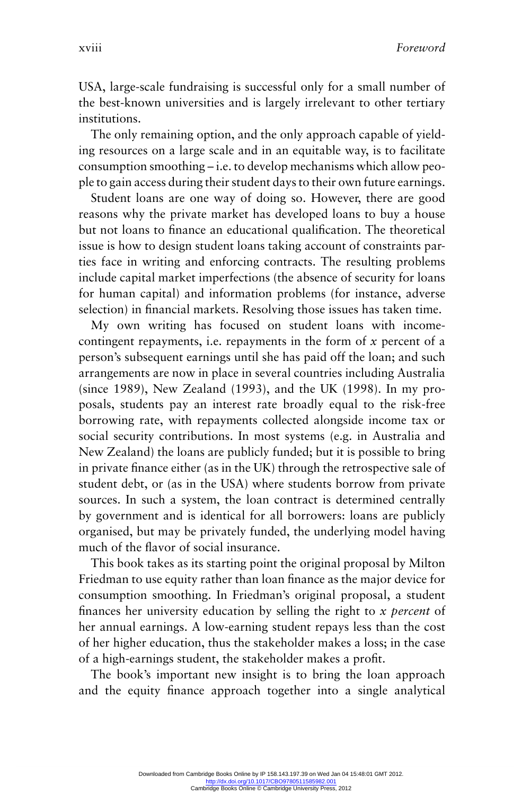USA, large-scale fundraising is successful only for a small number of the best-known universities and is largely irrelevant to other tertiary institutions.

The only remaining option, and the only approach capable of yielding resources on a large scale and in an equitable way, is to facilitate consumption smoothing – i.e. to develop mechanisms which allow people to gain access during their student days to their own future earnings.

Student loans are one way of doing so. However, there are good reasons why the private market has developed loans to buy a house but not loans to finance an educational qualification. The theoretical issue is how to design student loans taking account of constraints parties face in writing and enforcing contracts. The resulting problems include capital market imperfections (the absence of security for loans for human capital) and information problems (for instance, adverse selection) in financial markets. Resolving those issues has taken time.

My own writing has focused on student loans with incomecontingent repayments, i.e. repayments in the form of *x* percent of a person's subsequent earnings until she has paid off the loan; and such arrangements are now in place in several countries including Australia (since 1989), New Zealand (1993), and the UK (1998). In my proposals, students pay an interest rate broadly equal to the risk-free borrowing rate, with repayments collected alongside income tax or social security contributions. In most systems (e.g. in Australia and New Zealand) the loans are publicly funded; but it is possible to bring in private finance either (as in the UK) through the retrospective sale of student debt, or (as in the USA) where students borrow from private sources. In such a system, the loan contract is determined centrally by government and is identical for all borrowers: loans are publicly organised, but may be privately funded, the underlying model having much of the flavor of social insurance.

This book takes as its starting point the original proposal by Milton Friedman to use equity rather than loan finance as the major device for consumption smoothing. In Friedman's original proposal, a student finances her university education by selling the right to *x percent* of her annual earnings. A low-earning student repays less than the cost of her higher education, thus the stakeholder makes a loss; in the case of a high-earnings student, the stakeholder makes a profit.

The book's important new insight is to bring the loan approach and the equity finance approach together into a single analytical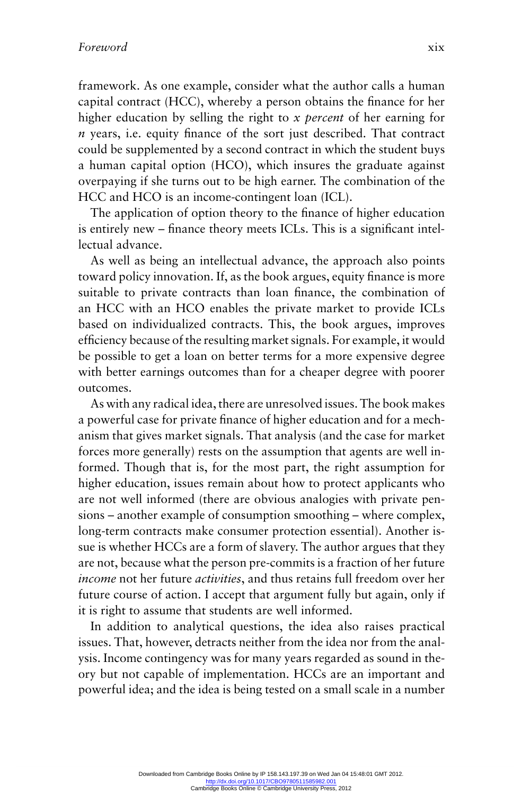framework. As one example, consider what the author calls a human capital contract (HCC), whereby a person obtains the finance for her higher education by selling the right to *x percent* of her earning for *n* years, i.e. equity finance of the sort just described. That contract could be supplemented by a second contract in which the student buys a human capital option (HCO), which insures the graduate against overpaying if she turns out to be high earner. The combination of the HCC and HCO is an income-contingent loan (ICL).

The application of option theory to the finance of higher education is entirely new – finance theory meets ICLs. This is a significant intellectual advance.

As well as being an intellectual advance, the approach also points toward policy innovation. If, as the book argues, equity finance is more suitable to private contracts than loan finance, the combination of an HCC with an HCO enables the private market to provide ICLs based on individualized contracts. This, the book argues, improves efficiency because of the resulting market signals. For example, it would be possible to get a loan on better terms for a more expensive degree with better earnings outcomes than for a cheaper degree with poorer outcomes.

As with any radical idea, there are unresolved issues. The book makes a powerful case for private finance of higher education and for a mechanism that gives market signals. That analysis (and the case for market forces more generally) rests on the assumption that agents are well informed. Though that is, for the most part, the right assumption for higher education, issues remain about how to protect applicants who are not well informed (there are obvious analogies with private pensions – another example of consumption smoothing – where complex, long-term contracts make consumer protection essential). Another issue is whether HCCs are a form of slavery. The author argues that they are not, because what the person pre-commits is a fraction of her future *income* not her future *activities*, and thus retains full freedom over her future course of action. I accept that argument fully but again, only if it is right to assume that students are well informed.

In addition to analytical questions, the idea also raises practical issues. That, however, detracts neither from the idea nor from the analysis. Income contingency was for many years regarded as sound in theory but not capable of implementation. HCCs are an important and powerful idea; and the idea is being tested on a small scale in a number